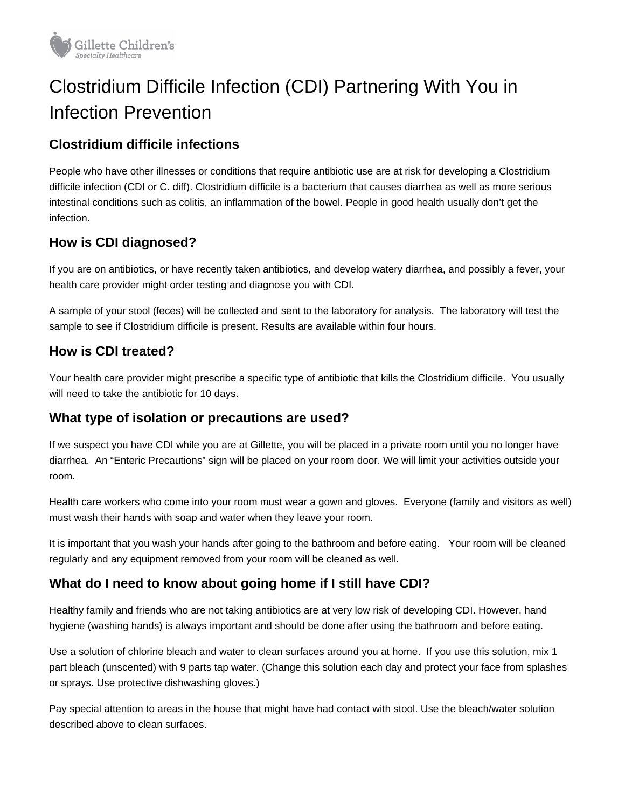

# Clostridium Difficile Infection (CDI) Partnering With You in Infection Prevention

### **Clostridium difficile infections**

People who have other illnesses or conditions that require antibiotic use are at risk for developing a Clostridium difficile infection (CDI or C. diff). Clostridium difficile is a bacterium that causes diarrhea as well as more serious intestinal conditions such as colitis, an inflammation of the bowel. People in good health usually don't get the infection.

#### **How is CDI diagnosed?**

If you are on antibiotics, or have recently taken antibiotics, and develop watery diarrhea, and possibly a fever, your health care provider might order testing and diagnose you with CDI.

A sample of your stool (feces) will be collected and sent to the laboratory for analysis. The laboratory will test the sample to see if Clostridium difficile is present. Results are available within four hours.

#### **How is CDI treated?**

Your health care provider might prescribe a specific type of antibiotic that kills the Clostridium difficile. You usually will need to take the antibiotic for 10 days.

#### **What type of isolation or precautions are used?**

If we suspect you have CDI while you are at Gillette, you will be placed in a private room until you no longer have diarrhea. An "Enteric Precautions" sign will be placed on your room door. We will limit your activities outside your room.

Health care workers who come into your room must wear a gown and gloves. Everyone (family and visitors as well) must wash their hands with soap and water when they leave your room.

It is important that you wash your hands after going to the bathroom and before eating. Your room will be cleaned regularly and any equipment removed from your room will be cleaned as well.

## **What do I need to know about going home if I still have CDI?**

Healthy family and friends who are not taking antibiotics are at very low risk of developing CDI. However, hand hygiene (washing hands) is always important and should be done after using the bathroom and before eating.

Use a solution of chlorine bleach and water to clean surfaces around you at home. If you use this solution, mix 1 part bleach (unscented) with 9 parts tap water. (Change this solution each day and protect your face from splashes or sprays. Use protective dishwashing gloves.)

Pay special attention to areas in the house that might have had contact with stool. Use the bleach/water solution described above to clean surfaces.